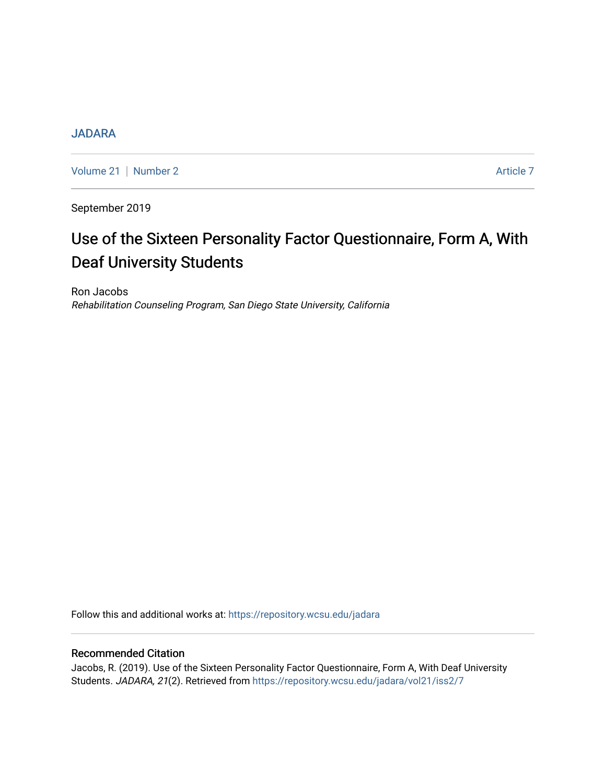# **[JADARA](https://repository.wcsu.edu/jadara)**

[Volume 21](https://repository.wcsu.edu/jadara/vol21) | [Number 2](https://repository.wcsu.edu/jadara/vol21/iss2) Article 7

September 2019

# Use of the Sixteen Personality Factor Questionnaire, Form A, With Deaf University Students

Ron Jacobs Rehabilitation Counseling Program, San Diego State University, California

Follow this and additional works at: [https://repository.wcsu.edu/jadara](https://repository.wcsu.edu/jadara?utm_source=repository.wcsu.edu%2Fjadara%2Fvol21%2Fiss2%2F7&utm_medium=PDF&utm_campaign=PDFCoverPages)

# Recommended Citation

Jacobs, R. (2019). Use of the Sixteen Personality Factor Questionnaire, Form A, With Deaf University Students. JADARA, 21(2). Retrieved from [https://repository.wcsu.edu/jadara/vol21/iss2/7](https://repository.wcsu.edu/jadara/vol21/iss2/7?utm_source=repository.wcsu.edu%2Fjadara%2Fvol21%2Fiss2%2F7&utm_medium=PDF&utm_campaign=PDFCoverPages)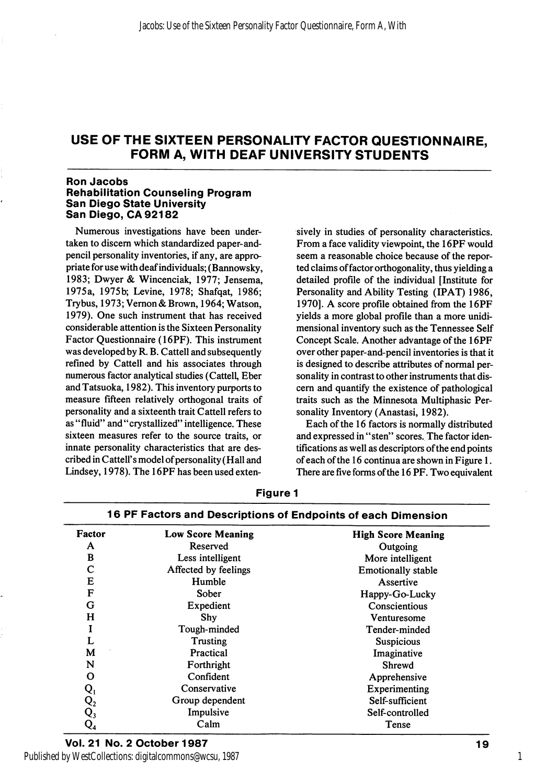#### Ron Jacobs Rehabilitation Counseling Program San Diego State University San Diego, OA 92182

Numerous investigations have been under taken to discern which standardized paper-andpencil personality inventories, if any, are appro priate for use with deaf individuals; (Bannowsky, 1983; Dwyer & Wincenciak, 1977; Jensema, 1975a, 1975b; Levine, 1978; Shafqat, 1986; Trybus, 1973; Vemon & Brown, 1964; Watson, 1979). One such instrument that has received considerable attention is the Sixteen Personality Factor Questionnaire (16PF). This instrument was developed by R. B. Cattell and subsequently refined by Cattell and his associates through numerous factor analytical studies (Cattell, Eber and Tatsuoka, 1982). This inventory purports to measure fifteen relatively orthogonal traits of personality and a sixteenth trait Cattell refers to as "fluid" and "crystallized" intelligence. These sixteen measures refer to the source traits, or innate personality characteristics that are des cribed in Cattell's model of personality (Hall and Lindsey, 1978). The 16PF has been used exten

sively in studies of personality characteristics. From a face validity viewpoint, the 16PF would seem a reasonable choice because of the repor ted claims of factor orthogonality, thus yielding a detailed profile of the individual [Institute for Personality and Ability Testing (IPAT) 1986, 1970]. A score profile obtained from the 16PF yields a more global profile than a more unidimensional inventory such as the Tennessee Self Concept Scale. Another advantage of the 16PF over other paper-and-pencil inventories is that it is designed to describe attributes of normal per sonality in contrast to other instruments that dis cern and quantify the existence of pathological traits such as the Minnesota Multiphasic Per sonality Inventory (Anastasi, 1982).

Each of the 16 factors is normally distributed and expressed in "sten" scores. The factor iden tifications as well as descriptors of the end points of each of the 16 continua are shown in Figure 1. There are five forms of the 16 PF. Two equivalent

| Factor         | Low Score Meaning    | <b>High Score Meaning</b> |
|----------------|----------------------|---------------------------|
| A              | Reserved             | Outgoing                  |
| в              | Less intelligent     | More intelligent          |
| C              | Affected by feelings | <b>Emotionally stable</b> |
| Е              | Humble               | Assertive                 |
| F              | Sober                | Happy-Go-Lucky            |
| G              | Expedient            | Conscientious             |
| H              | Shy                  | Venturesome               |
| I              | Tough-minded         | Tender-minded             |
| L              | Trusting             | <b>Suspicious</b>         |
| M              | Practical            | Imaginative               |
| N              | Forthright           | Shrewd                    |
| O              | Confident            | Apprehensive              |
| $Q_{1}$        | Conservative         | Experimenting             |
| $\mathsf{Q}_2$ | Group dependent      | Self-sufficient           |
| $\mathbf{Q_3}$ | Impulsive            | Self-controlled           |
| $Q_4$          | Calm                 | Tense                     |

# Figure 1 16 PF Factors and Descriptions of Endpoints of each Dimension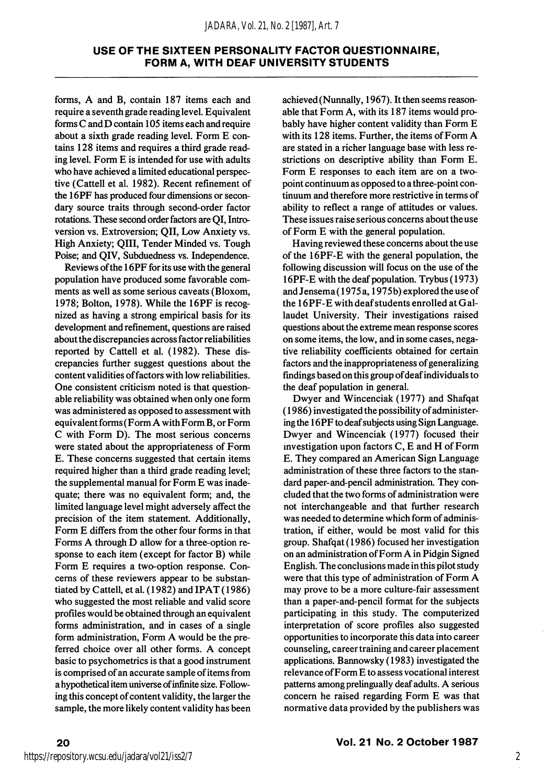forms, A and B, contain 187 items each and require a seventh grade reading level. Equivalent forms C and D contain 105 items each and require about a sixth grade reading level. Form E con tains 128 items and requires a third grade read ing level. Form E is intended for use with adults who have achieved a limited educational perspec tive (Cattell et al. 1982). Recent refinement of the 16PF has produced four dimensions or secon dary source traits through second-order factor rotations. These second order factors are QI, Intro version vs. Extroversion; OII, Low Anxiety vs. High Anxiety; QIII, Tender Minded vs. Tough Poise; and QIV, Subduedness vs. Independence.

Reviews of the 16PF for its use with the general population have produced some favorable com ments as well as some serious caveats (Bloxom, 1978; Bolton, 1978). While the 16PF is recog nized as having a strong empirical basis for its development and refinement, questions are raised about the discrepancies across factor reliabilities reported by Cattell et al. (1982). These dis crepancies further suggest questions about the content validities of factors with low reliabilities. One consistent criticism noted is that question able reliability was obtained when only one form was administered as opposed to assessment with equivalent forms (Form A with Form B, or Form C with Form D). The most serious concerns were stated about the appropriateness of Form E. These concerns suggested that certain items required higher than a third grade reading level; the supplemental manual for Form E was inade quate; there was no equivalent form; and, the limited language level might adversely affect the precision of the item statement. Additionally, Form E differs from the other four forms in that Forms A through D allow for a three-option re sponse to each item (except for factor B) while Form E requires a two-option response. Con cerns of these reviewers appear to be substan tiated by Cattell, et al. (1982) and IPAT (1986) who suggested the most reliable and valid score profiles would be obtained through an equivalent forms administration, and in cases of a single form administration. Form A would be the pre ferred choice over all other forms. A concept basic to psychometrics is that a good instrument is comprised of an accurate sample of items from a hypothetical item universe of infinite size. Follow ing this concept of content validity, the larger the sample, the more likely content validity has been

achieved (Nunnally, 1967). It then seems reason able that Form A, with its 187 items would pro bably have higher content validity than Form E with its 128 items. Further, the items of Form A are stated in a richer language base with less re strictions on descriptive ability than Form E. Form E responses to each item are on a twopoint continuum as opposed to a three-point con tinuum and therefore more restrictive in terms of ability to reflect a range of attitudes or values. These issues raise serious concerns about the use of Form E with the general population.

Having reviewed these concerns about the use of the I6PF-E with the general population, the following discussion will focus on the use of the 16PF-E with the deaf population. Trybus (1973) and Jensema (1975 a, 1975b) explored the use of the 16PF-E with deaf students enrolled at Gallaudet University. Their investigations raised questions about the extreme mean response scores on some items, the low, and in some cases, nega tive reliability coefficients obtained for certain factors and the inappropriateness of generalizing findings based on this group of deaf individuals to the deaf population in general.

Dwyer and Wincenciak (1977) and Shafqat (1986) investigated the possibility of administer ing the 16PF to deaf subjects using Sign Language. Dwyer and Wincenciak (1977) focused their investigation upon factors C, E and H of Form E. They compared an American Sign Language administration of these three factors to the stan dard paper-and-pencil administration. They concluded that the two forms of administration were not interchangeable and that further research was needed to determine which form of adminis tration, if either, would be most valid for this group. Shafqat (1986) focused her investigation on an administration of Form A in Pidgin Signed English. The conclusions made in this pilot study were that this type of administration of Form A may prove to be a more culture-fair assessment than a paper-and-pencil format for the subjects participating in this study. The computerized interpretation of score profiles also suggested opportunities to incorporate this data into career counseling, career training and career placement applications. Bannowsky (1983) investigated the relevance of Form E to assess vocational interest patterns among prelingually deaf adults. A serious concern he raised regarding Form E was that normative data provided by the publishers was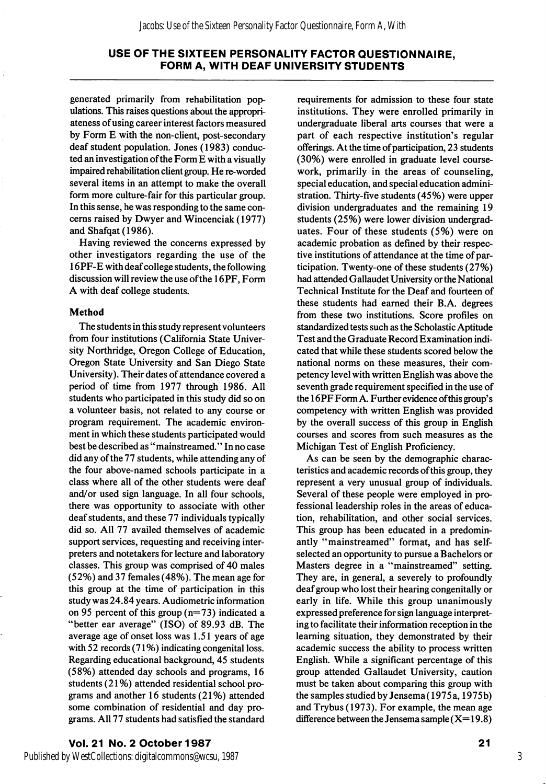generated primarily from rehabilitation pop ulations. This raises questions about the appropri ateness of using career interest factors measured by Form E with the non-client, post-secondary deaf student population. Jones (1983) conduc ted an investigation of the Form E with a visually impaired rehabilitation client group. He re-worded several items in an attempt to make the overall form more culture-fair for this particular group. In this sense, he was responding to the same con cerns raised by Dwyer and Wincenciak (1977) and Shafqat (1986).

Having reviewed the concerns expressed by other investigators regarding the use of the 16PF-E with deaf college students, the following discussion will review the use of the 16PF, Form A with deaf college students.

#### Method

The students in this study represent volunteers from four institutions (California State Univer sity Northridge, Oregon College of Education, Oregon State University and San Diego State University). Their dates of attendance covered a period of time from 1977 through 1986. All students who participated in this study did so on a volunteer basis, not related to any course or program requirement. The academic environ ment in which these students participated would best be described as "mainstreamed." In no case did any of the 77 students, while attending any of the four above-named schools participate in a class where all of the other students were deaf and/or used sign language. In all four schools, there was opportunity to associate with other deaf students, and these 77 individuals typically did so. All 77 availed themselves of academic support services, requesting and receiving inter preters and notetakers for lecture and laboratory classes. This group was comprised of 40 males (52%) and 37 females (48%). The mean age for this group at the time of participation in this study was 24.84 years. Audiometric information on 95 percent of this group  $(n=73)$  indicated a "better ear average" (ISO) of 89.93 dB. The average age of onset loss was 1.51 years of age with 52 records (71%) indicating congenital loss. Regarding educational background, 45 students (58%) attended day schools and programs, 16 students (21%) attended residential school pro grams and another 16 students (21%) attended some combination of residential and day pro grams. All 77 students had satisfied the standard

requirements for admission to these four state institutions. They were enrolled primarily in undergraduate liberal arts courses that were a part of each respective institution's regular offerings. At the time of participation, 23 students (30%) were enrolled in graduate level coursework, primarily in the areas of counseling, special education, and special education admini stration. Thirty-five students (45%) were upper division undergraduates and the remaining 19 students (25%) were lower division undergrad uates. Four of these students (5%) were on academic probation as defined by their respec tive institutions of attendance at the time of par ticipation. Twenty-one of these students (27%) had attended Gallaudet University or the National Technical Institute for the Deaf and fourteen of these students had earned their B.A. degrees from these two institutions. Score profiles on standardized tests such as the Scholastic Aptitude Test and the Graduate Record Examination indi cated that while these students scored below the national norms on these measures, their com petency level with written English was above the seventh grade requirement specified in the use of the 16PF Form A. Further evidence ofthis group's competency with written English was provided by the overall success of this group in English courses and scores from such measures as the Michigan Test of English Proficiency.

As can be seen by the demographic charac teristics and academic records of this group, they represent a very unusual group of individuals. Several of these people were employed in pro fessional leadership roles in the areas of educa tion, rehabilitation, and other social services. This group has been educated in a predomin antly "mainstreamed" format, and has selfselected an opportunity to pursue a Bachelors or Masters degree in a "mainstreamed" setting. They are, in general, a severely to profoundly deaf group who lost their hearing congenitally or early in life. While this group unanimously expressed preference for sign language interpret ing to facilitate their information reception in the learning situation, they demonstrated by their academic success the ability to process written English. While a significant percentage of this group attended Gallaudet University, caution must be taken about comparing this group with the samples studied by Jensema (1975 a, 1975b) and Trybus (1973). For example, the mean age difference between the Jensema sample  $(X= 19.8)$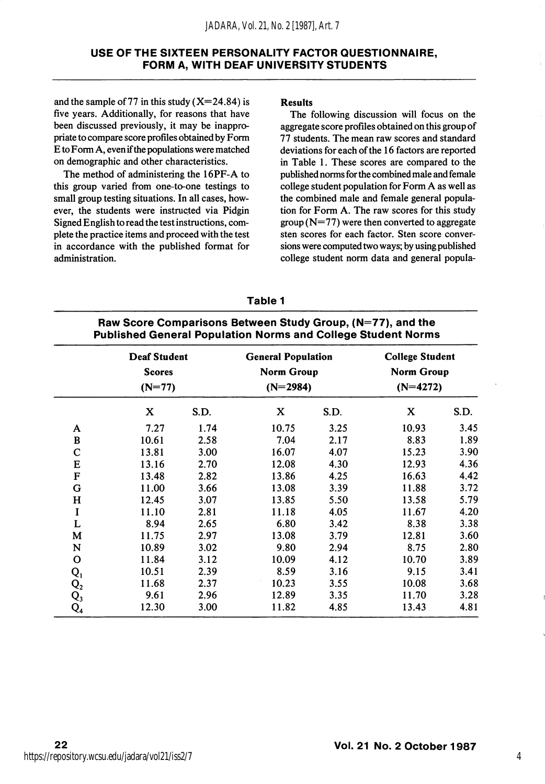and the sample of 77 in this study  $(X=24.84)$  is five years. Additionally, for reasons that have been discussed previously, it may be inappro priate to compare score profiles obtained by Form E to Form A, even if the populations were matched on demographic and other characteristics.

The method of administering the 16PF-A to this group varied from one-to-one testings to small group testing situations. In all cases, how ever, the students were instructed via Pidgin Signed English to read the test instructions, com plete the practice items and proceed with the test in accordance with the published format for administration.

#### Results

The following discussion will focus on the aggregate score profiles obtained on this group of 77 students. The mean raw scores and standard deviations for each of the 16 factors are reported in Table 1. These scores are compared to the published norms for the combined male and female college student population for Form A as well as the combined male and female general popula tion for Form A. The raw scores for this study  $\text{group} (N=77)$  were then converted to aggregate sten scores for each factor. Sten score conver sions were computed two ways; by using published college student norm data and general popula-

# Table 1

# Raw Score Comparisons Between Study Group, (N=77), and the Published General Population Norms and College Student Norms

|                | <b>Deaf Student</b><br><b>Scores</b><br>$(N=77)$ |      | <b>General Population</b><br>Norm Group<br>$(N=2984)$ |      | <b>College Student</b><br><b>Norm Group</b><br>$(N=4272)$ |      |  |
|----------------|--------------------------------------------------|------|-------------------------------------------------------|------|-----------------------------------------------------------|------|--|
|                | X                                                | S.D. | X                                                     | S.D. | X                                                         | S.D. |  |
| A              | 7.27                                             | 1.74 | 10.75                                                 | 3.25 | 10.93                                                     | 3.45 |  |
| B              | 10.61                                            | 2.58 | 7.04                                                  | 2.17 | 8.83                                                      | 1.89 |  |
| $\mathbf C$    | 13.81                                            | 3.00 | 16.07                                                 | 4.07 | 15.23                                                     | 3.90 |  |
| E              | 13.16                                            | 2.70 | 12.08                                                 | 4.30 | 12.93                                                     | 4.36 |  |
| F              | 13.48                                            | 2.82 | 13.86                                                 | 4.25 | 16.63                                                     | 4.42 |  |
| G              | 11.00                                            | 3.66 | 13.08                                                 | 3.39 | 11.88                                                     | 3.72 |  |
| $\mathbf H$    | 12.45                                            | 3.07 | 13.85                                                 | 5.50 | 13.58                                                     | 5.79 |  |
| I              | 11.10                                            | 2.81 | 11.18                                                 | 4.05 | 11.67                                                     | 4.20 |  |
| L              | 8.94                                             | 2.65 | 6.80                                                  | 3.42 | 8.38                                                      | 3.38 |  |
| M              | 11.75                                            | 2.97 | 13.08                                                 | 3.79 | 12.81                                                     | 3.60 |  |
| N              | 10.89                                            | 3.02 | 9.80                                                  | 2.94 | 8.75                                                      | 2.80 |  |
| $\mathbf o$    | 11.84                                            | 3.12 | 10.09                                                 | 4.12 | 10.70                                                     | 3.89 |  |
| $Q_{1}$        | 10.51                                            | 2.39 | 8.59                                                  | 3.16 | 9.15                                                      | 3.41 |  |
| $\mathsf{Q}_2$ | 11.68                                            | 2.37 | 10.23                                                 | 3.55 | 10.08                                                     | 3.68 |  |
| $\mathbf{Q}_3$ | 9.61                                             | 2.96 | 12.89                                                 | 3.35 | 11.70                                                     | 3.28 |  |
| $\mathsf{Q}_4$ | 12.30                                            | 3.00 | 11.82                                                 | 4.85 | 13.43                                                     | 4.81 |  |

4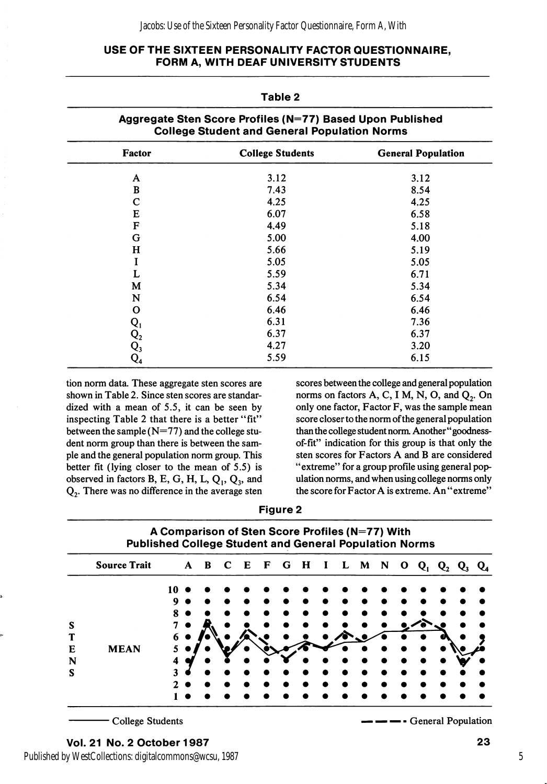#### Jacobs: Use of the Sixteen Personality Factor Questionnaire, Form A, With

## USE OF THE SIXTEEN PERSONALITY FACTOR QUESTIONNAIRE, FORM A, WITH DEAF UNIVERSITY STUDENTS

Table 2

| Aggregate Sten Score Profiles (N=77) Based Upon Published<br><b>College Student and General Population Norms</b> |                         |                           |  |  |  |
|------------------------------------------------------------------------------------------------------------------|-------------------------|---------------------------|--|--|--|
| <b>Factor</b>                                                                                                    | <b>College Students</b> | <b>General Population</b> |  |  |  |
| A                                                                                                                | 3.12                    | 3.12                      |  |  |  |
| B                                                                                                                | 7.43                    | 8.54                      |  |  |  |
| $\mathbf C$                                                                                                      | 4.25                    | 4.25                      |  |  |  |
| E                                                                                                                | 6.07                    | 6.58                      |  |  |  |
| $\mathbf F$                                                                                                      | 4.49                    | 5.18                      |  |  |  |
| G                                                                                                                | 5.00                    | 4.00                      |  |  |  |
| н                                                                                                                | 5.66                    | 5.19                      |  |  |  |
| I                                                                                                                | 5.05                    | 5.05                      |  |  |  |
| L                                                                                                                | 5.59                    | 6.71                      |  |  |  |
| M                                                                                                                | 5.34                    | 5.34                      |  |  |  |
| N                                                                                                                | 6.54                    | 6.54                      |  |  |  |
| O                                                                                                                | 6.46                    | 6.46                      |  |  |  |
|                                                                                                                  | 6.31                    | 7.36                      |  |  |  |
| $\begin{matrix} \mathrm{Q}_1 \ \mathrm{Q}_2 \ \mathrm{Q}_3 \ \mathrm{Q}_4 \end{matrix}$                          | 6.37                    | 6.37                      |  |  |  |
|                                                                                                                  | 4.27                    | 3.20                      |  |  |  |
|                                                                                                                  | 5.59                    | 6.15                      |  |  |  |

tion norm data. These aggregate sten scores are shown in Table 2. Since sten scores are standar dized with a mean of 5.5, it can be seen by inspecting Table 2 that there is a better "fit" between the sample (N=77) and the college stu dent norm group than there is between the sam ple and the general population norm group. This better fit (lying closer to the mean of 5.5) is observed in factors B, E, G, H, L,  $Q_1$ ,  $Q_3$ , and Qj. There was no difference in the average sten

scores between the college and general population norms on factors  $A, C, I M, N, O$ , and  $Q<sub>2</sub>$ . On only one factor, Factor F, was the sample mean score closer to the norm of the general population than the college student norm. Another" goodnessof-fit" indication for this group is that only the sten scores for Factors A and B are considered "extreme" for a group profile using general pop ulation norms, and when using college norms only the score for Factor A is extreme. An "extreme"

| aure |  |
|------|--|
|------|--|

|   | <b>Source Trait</b> |   | $\mathbf{A}$ | $\mathbf{B}$ | C | $\mathbf{E}$ | $\mathbf{F}$ | G | $\mathbf{H}$ | 1 | L | M | N | O | $Q_1$ | $\mathbf{Q}_2$ |  |
|---|---------------------|---|--------------|--------------|---|--------------|--------------|---|--------------|---|---|---|---|---|-------|----------------|--|
|   |                     |   |              |              |   |              |              |   |              |   |   |   |   |   |       |                |  |
|   |                     | Q |              |              |   |              |              |   |              |   |   |   |   |   |       |                |  |
|   |                     |   |              |              |   |              |              |   |              |   |   |   |   |   |       |                |  |
| S |                     |   |              |              |   |              |              |   |              |   |   |   |   |   |       |                |  |
|   |                     | 6 |              |              |   |              |              |   |              |   |   |   |   |   |       |                |  |
| Е | <b>MEAN</b>         |   |              |              |   |              |              |   |              |   |   |   |   |   |       |                |  |
| N |                     |   |              |              |   |              |              |   |              |   |   |   |   |   |       |                |  |
| S |                     | 2 |              |              |   |              |              |   |              |   |   |   |   |   |       |                |  |
|   |                     |   |              |              |   |              |              |   |              |   |   |   |   |   |       |                |  |

College Students

— — — - General Population

Published by WestCollections: digitalcommons@wcsu, 1987

5

23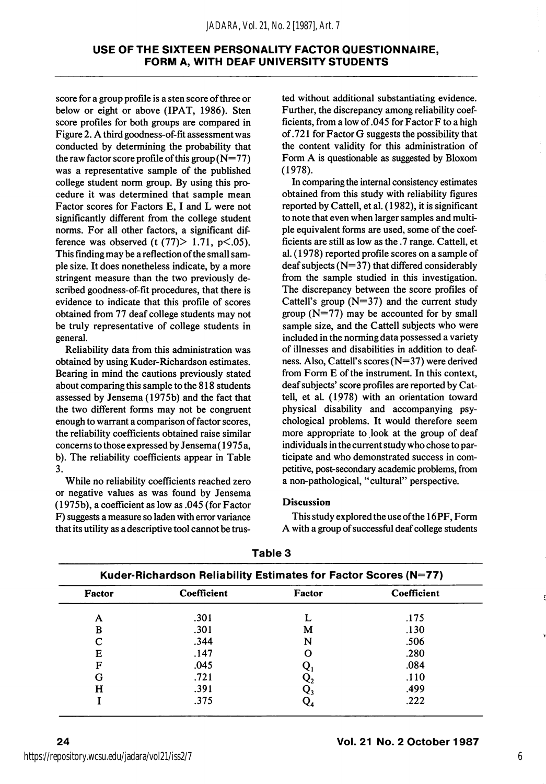score for a group profile is a sten score of three or below or eight or above (IPAT, 1986). Sten score profiles for both groups are compared in Figure 2. A third goodness-of-fit assessment was conducted by determining the probability that the raw factor score profile of this group  $(N=77)$ was a representative sample of the published college student norm group. By using this pro cedure it was determined that sample mean Factor scores for Factors E, I and L were not significantly different from the college student norms. For all other factors, a significant dif ference was observed (t  $(77)$  > 1.71, p <.05). This finding may be a reflection of the small sam ple size. It does nonetheless indicate, by a more stringent measure than the two previously de scribed goodness-of-fit procedures, that there is evidence to indicate that this profile of scores obtained from 77 deaf college students may not be truly representative of college students in general.

Reliability data from this administration was obtained by using Kuder-Richardson estimates. Bearing in mind the cautions previously stated about comparing this sample to the 818 students assessed by Jensema (1975b) and the fact that the two different forms may not be congruent enough to warrant a comparison of factor scores, the reliability coefficients obtained raise similar concerns to those expressed by Jensema(1975 a, b). The reliability coefficients appear in Table 3.

While no reliability coefficients reached zero or negative values as was found by Jensema (1975b), a coefficient as low as .045 (for Factor F) suggests a measure so laden with error variance that its utility as a descriptive tool cannot be trus

ted without additional substantiating evidence. Further, the discrepancy among reliability coef ficients, from a low of .045 for Factor F to a high of .721 for Factor G suggests the possibility that the content validity for this administration of Form A is questionable as suggested by Bloxom (1978).

In comparing the internal consistency estimates obtained from this study with reliability figures reported by Cattell, et al. (1982), it is significant to note that even when larger samples and multi ple equivalent forms are used, some of the coef ficients are still as low as the .7 range. Cattell, et al. (1978) reported profile scores on a sample of deaf subjects  $(N=37)$  that differed considerably from the sample studied in this investigation. The discrepancy between the score profiles of Cattell's group  $(N=37)$  and the current study group  $(N=77)$  may be accounted for by small sample size, and the Cattell subjects who were included in the norming data possessed a variety of illnesses and disabilities in addition to deaf ness. Also, Cattell's scores (N=37) were derived from Form E of the instrument. In this context, deaf subjects' score profiles are reported by Cat tell, et al. (1978) with an orientation toward physical disability and accompanying psy chological problems. It would therefore seem more appropriate to look at the group of deaf individuals in the current study who chose to par ticipate and who demonstrated success in com petitive, post-secondary academic problems, from a non-pathological, "cultural" perspective.

#### Discussion

This study explored the use of the 16PF, Form A with a group of successful deaf college students

| Factor | Coefficient | Factor | Coefficient |  |  |
|--------|-------------|--------|-------------|--|--|
| A      | .301        |        | .175        |  |  |
| в      | .301        | м      | .130        |  |  |
|        | .344        | N      | .506        |  |  |
| Е      | .147        | О      | .280        |  |  |
| F      | .045        |        | .084        |  |  |
| G      | .721        |        | .110        |  |  |
| н      | .391        |        | .499        |  |  |
|        | .375        |        | .222        |  |  |

Table 3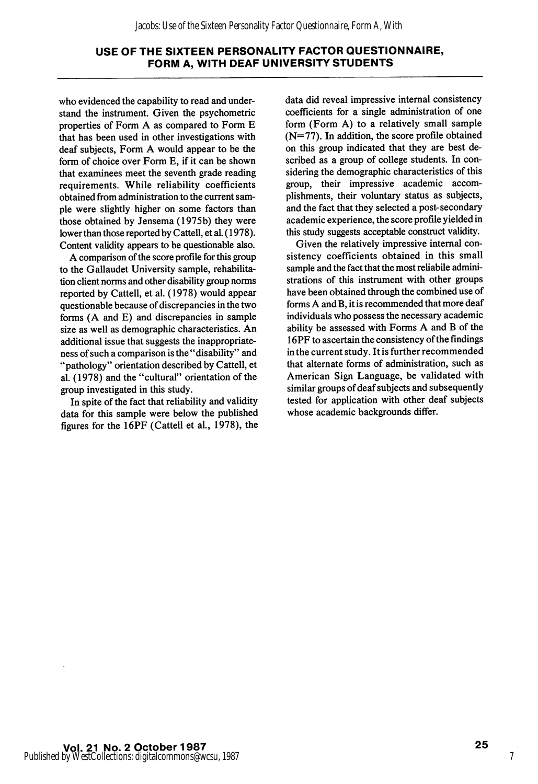who evidenced the capability to read and under stand the instrument. Given the psychometric properties of Form A as compared to Form E that has been used in other investigations with deaf subjects, Form A would appear to be the form of choice over Form E, if it can be shown that examinees meet the seventh grade reading requirements. While reliability coefficients obtained from administration to the current sam ple were slightly higher on some factors than those obtained by Jensema (1975b) they were lower than those reported by Cattell, et al. (1978). Content validity appears to be questionable also.

A comparison of the score profile for this group to the Gallaudet University sample, rehabilita tion client norms and other disability group norms reported by Cattell, et al. (1978) would appear questionable because of discrepancies in the two forms (A and E) and discrepancies in sample size as well as demographic characteristics. An additional issue that suggests the inappropriateness of such a comparison is the "disability" and "pathology" orientation described by Cattell, et al. (1978) and the "cultural" orientation of the group investigated in this study.

In spite of the fact that reliability and validity data for this sample were below the published figures for the 16PF (Cattell et al., 1978), the data did reveal impressive internal consistency coefficients for a single administration of one form (Form A) to a relatively small sample  $(N=77)$ . In addition, the score profile obtained on this group indicated that they are best de scribed as a group of college students. In con sidering the demographic characteristics of this group, their impressive academic accom plishments, their voluntary status as subjects, and the fact that they selected a post-secondary academic experience, the score profile yielded in this study suggests acceptable construct validity.

Given the relatively impressive internal con sistency coefficients obtained in this small sample and the fact that the most reliabile admini strations of this instrument with other groups have been obtained through the combined use of forms A and B, it is recommended that more deaf individuals who possess the necessary academic ability be assessed with Forms A and B of the 16PF to ascertain the consistency of the findings in the current study. It is further recommended that alternate forms of administration, such as American Sign Language, be validated with similar groups of deaf subjects and subsequently tested for application with other deaf subjects whose academic backgrounds differ.

7